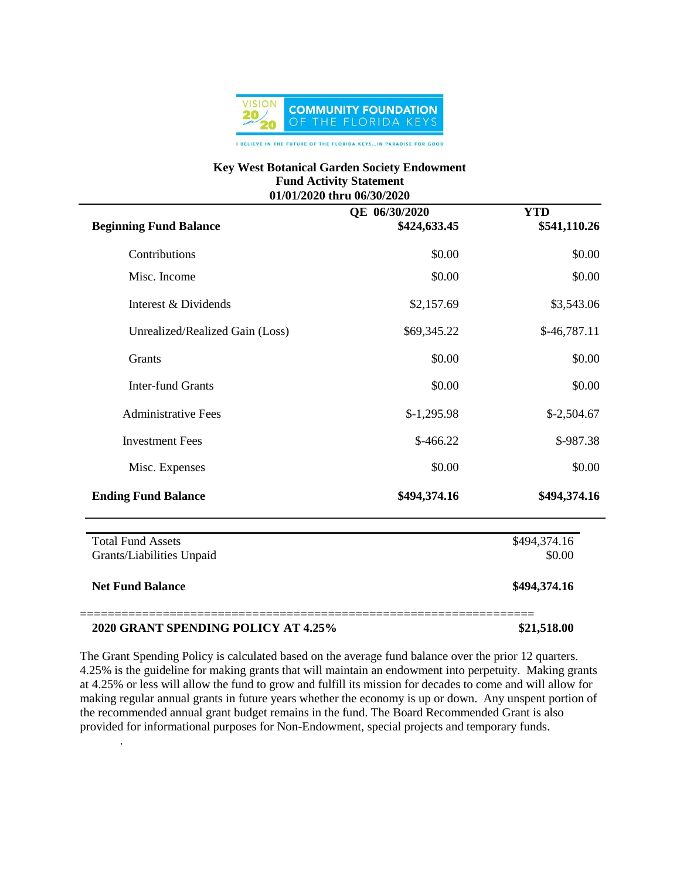

## **Key West Botanical Garden Society Endowment Fund Activity Statement 01/01/2020 thru 06/30/2020**

| <b>Beginning Fund Balance</b>                         | QE 06/30/2020<br>\$424,633.45 | <b>YTD</b><br>\$541,110.26 |
|-------------------------------------------------------|-------------------------------|----------------------------|
| Contributions                                         | \$0.00                        | \$0.00                     |
| Misc. Income                                          | \$0.00                        | \$0.00                     |
| Interest & Dividends                                  | \$2,157.69                    | \$3,543.06                 |
| Unrealized/Realized Gain (Loss)                       | \$69,345.22                   | $$-46,787.11$              |
| <b>Grants</b>                                         | \$0.00                        | \$0.00                     |
| <b>Inter-fund Grants</b>                              | \$0.00                        | \$0.00                     |
| <b>Administrative Fees</b>                            | $$-1,295.98$                  | $$-2,504.67$               |
| <b>Investment Fees</b>                                | $$-466.22$                    | \$-987.38                  |
| Misc. Expenses                                        | \$0.00                        | \$0.00                     |
| <b>Ending Fund Balance</b>                            | \$494,374.16                  | \$494,374.16               |
| <b>Total Fund Assets</b><br>Grants/Liabilities Unpaid |                               | \$494,374.16<br>\$0.00     |
| <b>Net Fund Balance</b>                               |                               | \$494,374.16               |
| 2020 GRANT SPENDING POLICY AT 4.25%                   |                               | \$21,518.00                |

The Grant Spending Policy is calculated based on the average fund balance over the prior 12 quarters. 4.25% is the guideline for making grants that will maintain an endowment into perpetuity. Making grants at 4.25% or less will allow the fund to grow and fulfill its mission for decades to come and will allow for making regular annual grants in future years whether the economy is up or down. Any unspent portion of the recommended annual grant budget remains in the fund. The Board Recommended Grant is also provided for informational purposes for Non-Endowment, special projects and temporary funds.

.